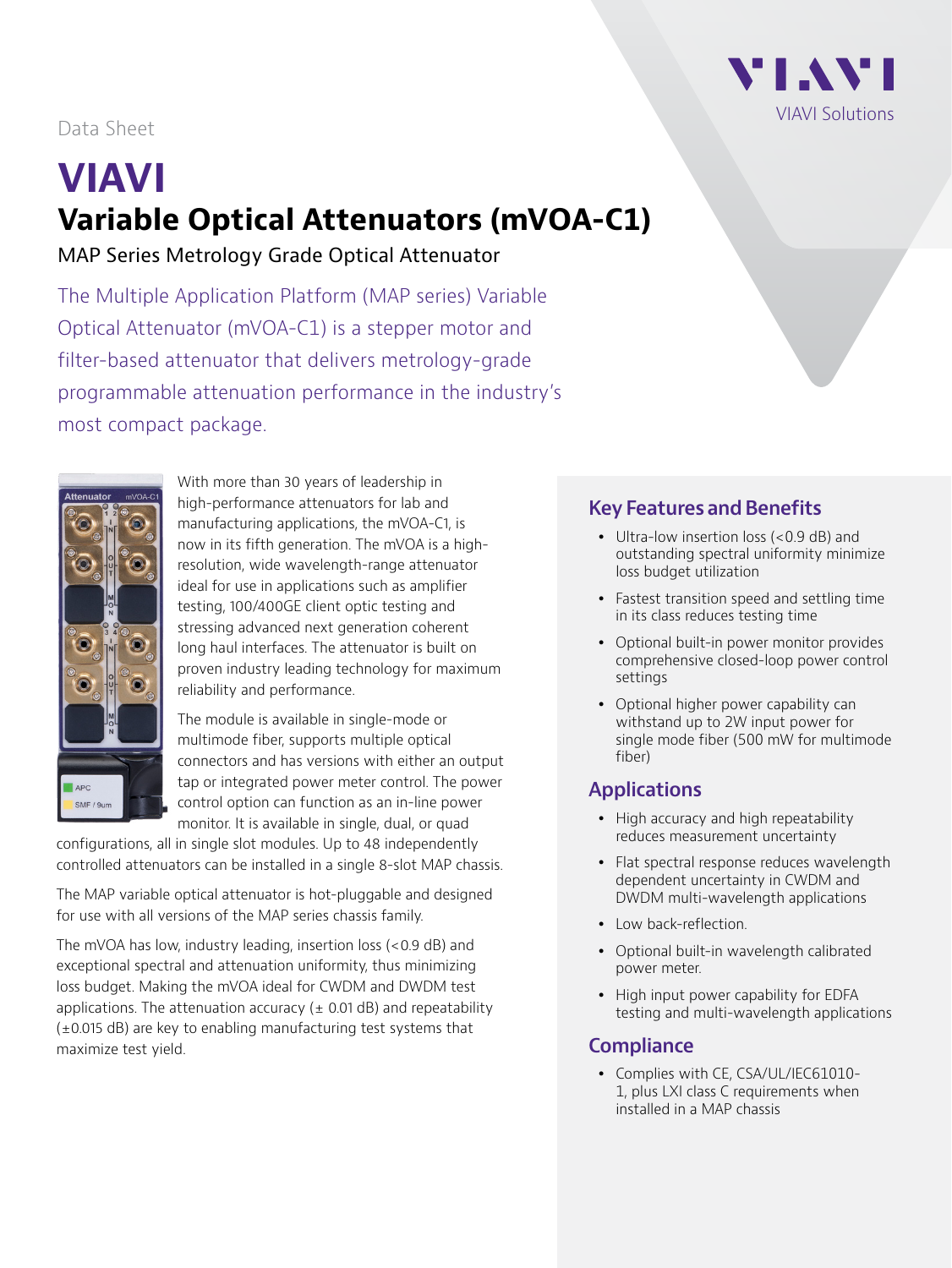

# Data Sheet

# **VIAVI Variable Optical Attenuators (mVOA-C1)**

MAP Series Metrology Grade Optical Attenuator

The Multiple Application Platform (MAP series) Variable Optical Attenuator (mVOA-C1) is a stepper motor and filter-based attenuator that delivers metrology-grade programmable attenuation performance in the industry's most compact package.



With more than 30 years of leadership in high-performance attenuators for lab and manufacturing applications, the mVOA-C1, is now in its fifth generation. The mVOA is a highresolution, wide wavelength-range attenuator ideal for use in applications such as amplifier testing, 100/400GE client optic testing and stressing advanced next generation coherent long haul interfaces. The attenuator is built on proven industry leading technology for maximum reliability and performance.

The module is available in single-mode or multimode fiber, supports multiple optical connectors and has versions with either an output tap or integrated power meter control. The power control option can function as an in-line power monitor. It is available in single, dual, or quad

configurations, all in single slot modules. Up to 48 independently controlled attenuators can be installed in a single 8-slot MAP chassis.

The MAP variable optical attenuator is hot-pluggable and designed for use with all versions of the MAP series chassis family.

The mVOA has low, industry leading, insertion loss (<0.9 dB) and exceptional spectral and attenuation uniformity, thus minimizing loss budget. Making the mVOA ideal for CWDM and DWDM test applications. The attenuation accuracy ( $\pm$  0.01 dB) and repeatability (±0.015 dB) are key to enabling manufacturing test systems that maximize test yield.

# **Key Features and Benefits**

- Ultra-low insertion loss (<0.9 dB) and outstanding spectral uniformity minimize loss budget utilization
- Fastest transition speed and settling time in its class reduces testing time
- Optional built-in power monitor provides comprehensive closed-loop power control settings
- Optional higher power capability can withstand up to 2W input power for single mode fiber (500 mW for multimode fiber)

# **Applications**

- High accuracy and high repeatability reduces measurement uncertainty
- Flat spectral response reduces wavelength dependent uncertainty in CWDM and DWDM multi-wavelength applications
- Low back-reflection.
- Optional built-in wavelength calibrated power meter.
- High input power capability for EDFA testing and multi-wavelength applications

# **Compliance**

• Complies with CE, CSA/UL/IEC61010-1, plus LXI class C requirements when installed in a MAP chassis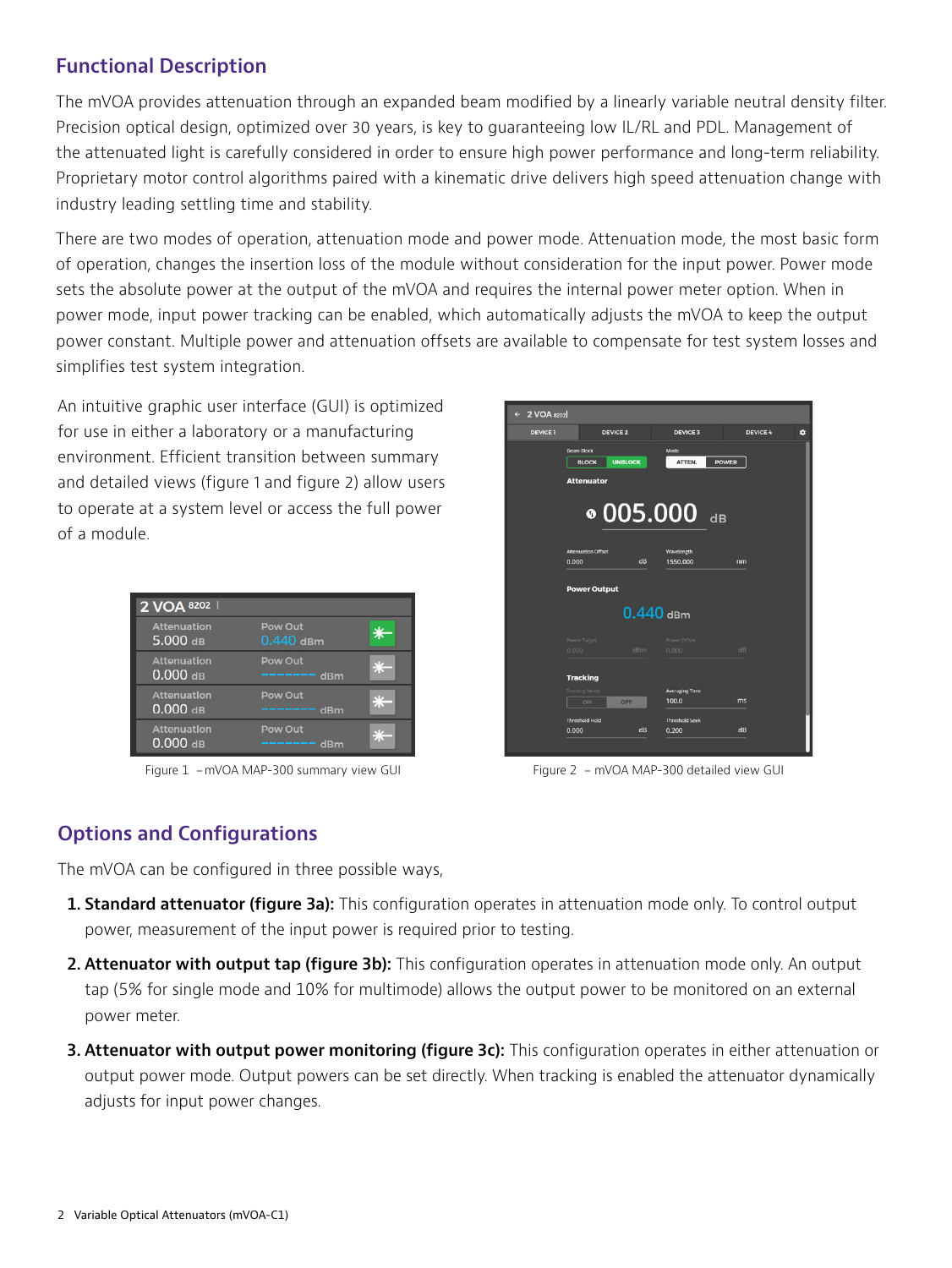# **Functional Description**

The mVOA provides attenuation through an expanded beam modified by a linearly variable neutral density filter. Precision optical design, optimized over 30 years, is key to guaranteeing low IL/RL and PDL. Management of the attenuated light is carefully considered in order to ensure high power performance and long-term reliability. Proprietary motor control algorithms paired with a kinematic drive delivers high speed attenuation change with industry leading settling time and stability.

There are two modes of operation, attenuation mode and power mode. Attenuation mode, the most basic form of operation, changes the insertion loss of the module without consideration for the input power. Power mode sets the absolute power at the output of the mVOA and requires the internal power meter option. When in power mode, input power tracking can be enabled, which automatically adjusts the mVOA to keep the output power constant. Multiple power and attenuation offsets are available to compensate for test system losses and simplifies test system integration.

An intuitive graphic user interface (GUI) is optimized for use in either a laboratory or a manufacturing environment. Efficient transition between summary and detailed views (figure 1 and figure 2) allow users to operate at a system level or access the full power of a module.

| 2 VOA 8202                       |                             |  |
|----------------------------------|-----------------------------|--|
| <b>Attenuation</b><br>$5.000$ dB | Pow Out<br>$0.440$ dBm      |  |
| <b>Attenuation</b><br>$0.000$ dB | Pow Out<br>dBm              |  |
| <b>Attenuation</b><br>$0.000$ dB | <b>Pow Out</b><br>$---$ dBm |  |
| <b>Attenuation</b><br>$0.000$ dB | <b>Pow Out</b><br>----- dBm |  |



Figure 1 - mVOA MAP-300 summary view GUI Figure 2 - mVOA MAP-300 detailed view GUI

# **Options and Configurations**

The mVOA can be configured in three possible ways,

- **1. Standard attenuator (figure 3a):** This configuration operates in attenuation mode only. To control output power, measurement of the input power is required prior to testing.
- **2. Attenuator with output tap (figure 3b):** This configuration operates in attenuation mode only. An output tap (5% for single mode and 10% for multimode) allows the output power to be monitored on an external power meter.
- **3. Attenuator with output power monitoring (figure 3c):** This configuration operates in either attenuation or output power mode. Output powers can be set directly. When tracking is enabled the attenuator dynamically adjusts for input power changes.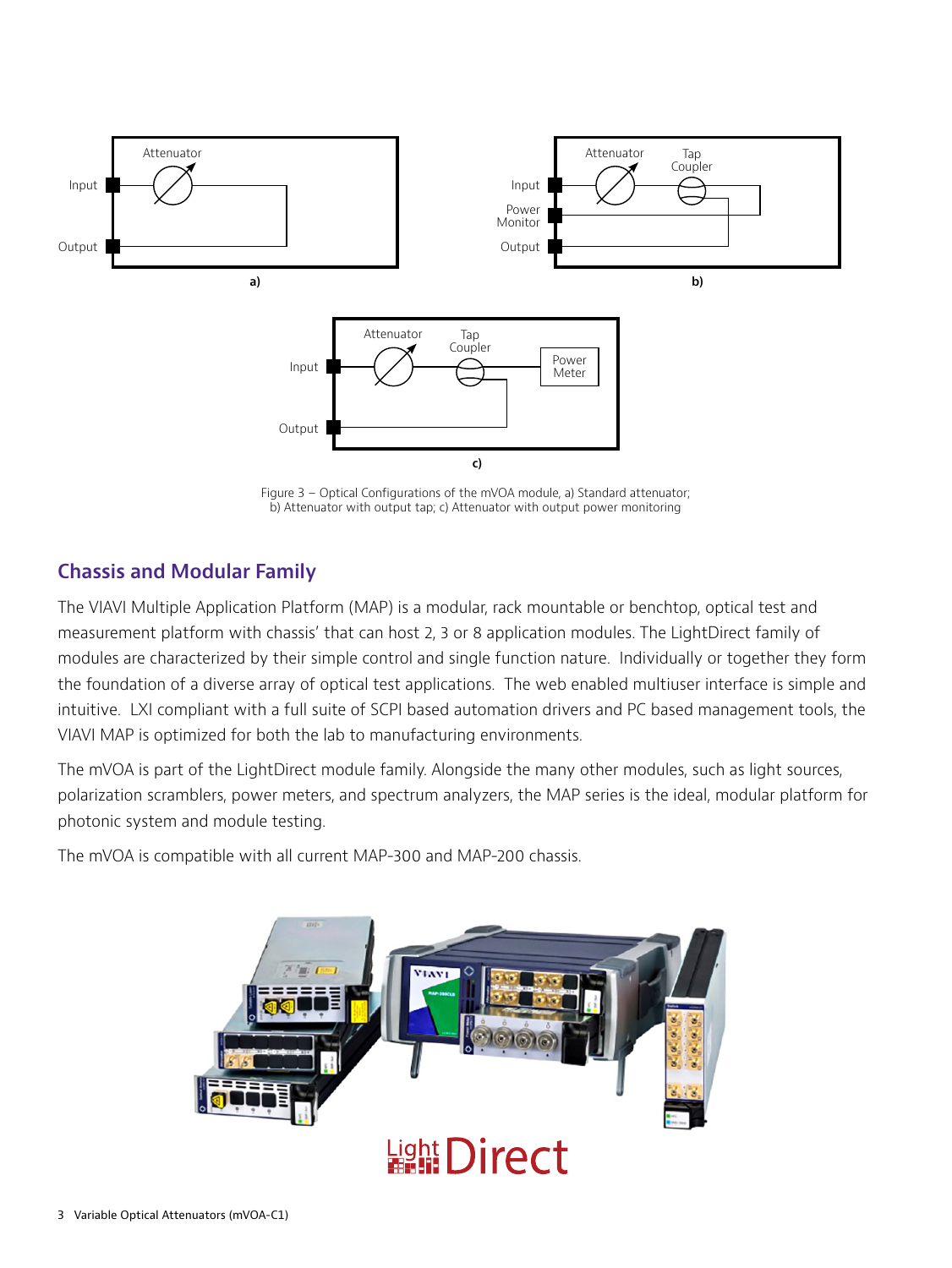

Figure 3 – Optical Configurations of the mVOA module, a) Standard attenuator; b) Attenuator with output tap; c) Attenuator with output power monitoring

# **Chassis and Modular Family**

The VIAVI Multiple Application Platform (MAP) is a modular, rack mountable or benchtop, optical test and measurement platform with chassis' that can host 2, 3 or 8 application modules. The LightDirect family of modules are characterized by their simple control and single function nature. Individually or together they form the foundation of a diverse array of optical test applications. The web enabled multiuser interface is simple and intuitive. LXI compliant with a full suite of SCPI based automation drivers and PC based management tools, the VIAVI MAP is optimized for both the lab to manufacturing environments.

The mVOA is part of the LightDirect module family. Alongside the many other modules, such as light sources, polarization scramblers, power meters, and spectrum analyzers, the MAP series is the ideal, modular platform for photonic system and module testing.

The mVOA is compatible with all current MAP-300 and MAP-200 chassis.

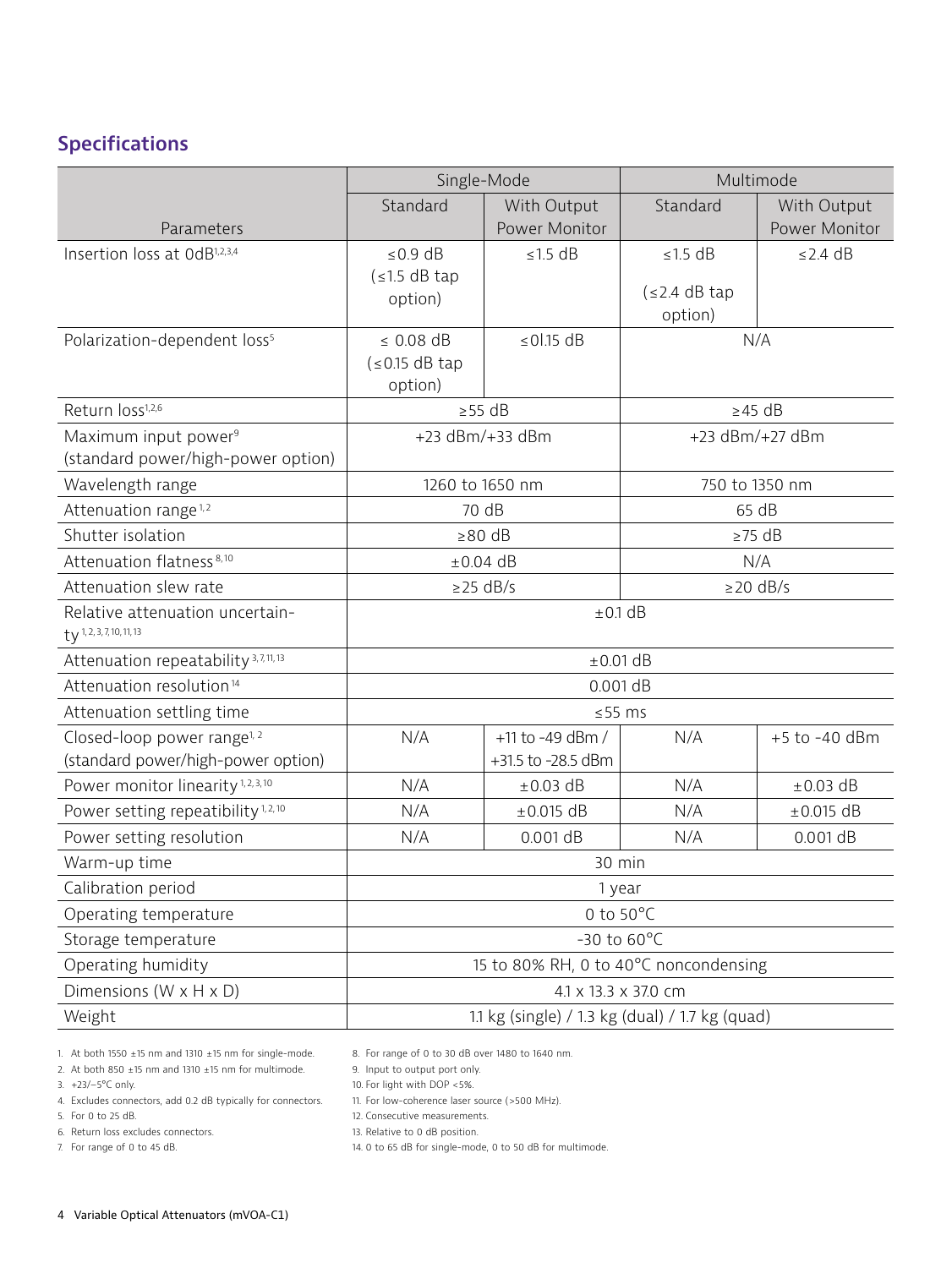# **Specifications**

|                                                                           | Single-Mode                                     |                    | Multimode       |                |
|---------------------------------------------------------------------------|-------------------------------------------------|--------------------|-----------------|----------------|
|                                                                           | Standard                                        | With Output        | Standard        | With Output    |
| Parameters                                                                |                                                 | Power Monitor      |                 | Power Monitor  |
| Insertion loss at OdB <sup>1,2,3,4</sup>                                  | $\leq$ 0.9 dB                                   | $≤1.5 dB$          | $≤1.5 dB$       | $\leq$ 2.4 dB  |
|                                                                           | $\leq 1.5$ dB tap                               |                    | (s2.4 dB tap    |                |
|                                                                           | option)                                         |                    | option)         |                |
| Polarization-dependent loss <sup>5</sup>                                  | $\leq$ 0.08 dB                                  | $\leq 01.15$ dB    | N/A             |                |
|                                                                           | $($ ≤ 0.15 dB tap                               |                    |                 |                |
|                                                                           | option)                                         |                    |                 |                |
| Return loss <sup>1,2,6</sup>                                              | $\geq$ 55 dB                                    |                    | $\geq$ 45 dB    |                |
| Maximum input power <sup>9</sup>                                          | +23 dBm/+33 dBm                                 |                    | +23 dBm/+27 dBm |                |
| (standard power/high-power option)                                        |                                                 |                    |                 |                |
| Wavelength range                                                          | 1260 to 1650 nm                                 |                    | 750 to 1350 nm  |                |
| Attenuation range <sup>1,2</sup>                                          | 70 dB                                           |                    | 65 dB           |                |
| Shutter isolation                                                         | $\geq 80$ dB                                    |                    | $\geq$ 75 dB    |                |
| Attenuation flatness <sup>8,10</sup>                                      | $\pm 0.04$ dB                                   |                    | N/A             |                |
| Attenuation slew rate                                                     | $\geq$ 25 dB/s                                  |                    | $\geq$ 20 dB/s  |                |
| Relative attenuation uncertain-<br>$ty$ <sup>1, 2, 3, 7, 10, 11, 13</sup> | $±0.1$ dB                                       |                    |                 |                |
| Attenuation repeatability <sup>3,7,11,13</sup>                            | $±0.01$ dB                                      |                    |                 |                |
| Attenuation resolution <sup>14</sup>                                      | 0.001 dB                                        |                    |                 |                |
| Attenuation settling time                                                 | $≤55$ ms                                        |                    |                 |                |
| Closed-loop power range <sup>1, 2</sup>                                   | N/A                                             | +11 to -49 dBm /   | N/A             | +5 to -40 dBm  |
| (standard power/high-power option)                                        |                                                 | +31.5 to -28.5 dBm |                 |                |
| Power monitor linearity <sup>1,2,3,10</sup>                               | N/A                                             | $\pm 0.03$ dB      | N/A             | $\pm 0.03$ dB  |
| Power setting repeatibility <sup>1,2,10</sup>                             | N/A                                             | $\pm 0.015$ dB     | N/A             | $\pm 0.015$ dB |
| Power setting resolution                                                  | N/A                                             | 0.001 dB           | N/A             | 0.001 dB       |
| Warm-up time                                                              | 30 min                                          |                    |                 |                |
| Calibration period                                                        | 1 year                                          |                    |                 |                |
| Operating temperature                                                     | 0 to $50^{\circ}$ C                             |                    |                 |                |
| Storage temperature                                                       | -30 to $60^{\circ}$ C                           |                    |                 |                |
| Operating humidity                                                        | 15 to 80% RH, 0 to 40°C noncondensing           |                    |                 |                |
| Dimensions (W x H x D)                                                    | 4.1 x 13.3 x 37.0 cm                            |                    |                 |                |
| Weight                                                                    | 1.1 kg (single) / 1.3 kg (dual) / 1.7 kg (quad) |                    |                 |                |

1. At both 1550  $\pm$ 15 nm and 1310  $\pm$ 15 nm for single-mode.

2. At both 850  $\pm$ 15 nm and 1310  $\pm$ 15 nm for multimode.

3. +23/–5°C only.

4. Excludes connectors, add 0.2 dB typically for connectors.

5. For 0 to 25 dB.

6. Return loss excludes connectors.

7. For range of 0 to 45 dB.

8. For range of 0 to 30 dB over 1480 to 1640 nm.

9. Input to output port only.

10. For light with DOP <5%.

11. For low-coherence laser source (>500 MHz).

12. Consecutive measurements.

13. Relative to 0 dB position.

14. 0 to 65 dB for single-mode, 0 to 50 dB for multimode.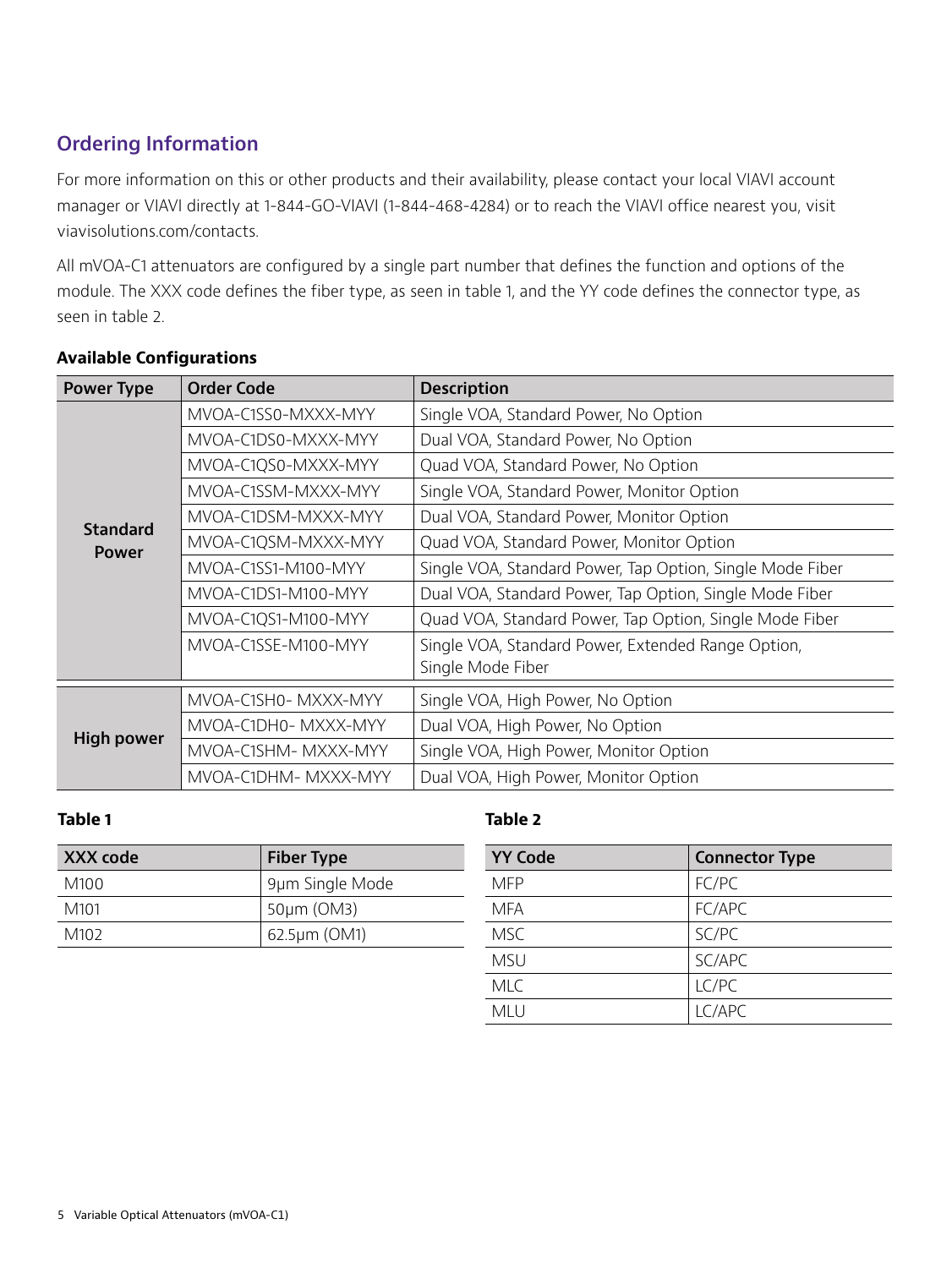# **Ordering Information**

For more information on this or other products and their availability, please contact your local VIAVI account manager or VIAVI directly at 1-844-GO-VIAVI (1-844-468-4284) or to reach the VIAVI office nearest you, visit viavisolutions.com/contacts.

All mVOA-C1 attenuators are configured by a single part number that defines the function and options of the module. The XXX code defines the fiber type, as seen in table 1, and the YY code defines the connector type, as seen in table 2.

| <b>Power Type</b>               | <b>Order Code</b>    | <b>Description</b>                                        |
|---------------------------------|----------------------|-----------------------------------------------------------|
|                                 | MVOA-C1SS0-MXXX-MYY  | Single VOA, Standard Power, No Option                     |
|                                 | MVOA-C1DS0-MXXX-MYY  | Dual VOA, Standard Power, No Option                       |
|                                 | MVOA-C1QS0-MXXX-MYY  | Quad VOA, Standard Power, No Option                       |
|                                 | MVOA-C1SSM-MXXX-MYY  | Single VOA, Standard Power, Monitor Option                |
|                                 | MVOA-C1DSM-MXXX-MYY  | Dual VOA, Standard Power, Monitor Option                  |
| <b>Standard</b><br><b>Power</b> | MVOA-C1QSM-MXXX-MYY  | Quad VOA, Standard Power, Monitor Option                  |
|                                 | MVOA-C1SS1-M100-MYY  | Single VOA, Standard Power, Tap Option, Single Mode Fiber |
|                                 | MVOA-C1DS1-M100-MYY  | Dual VOA, Standard Power, Tap Option, Single Mode Fiber   |
|                                 | MVOA-C1QS1-M100-MYY  | Quad VOA, Standard Power, Tap Option, Single Mode Fiber   |
|                                 | MVOA-C1SSE-M100-MYY  | Single VOA, Standard Power, Extended Range Option,        |
|                                 |                      | Single Mode Fiber                                         |
|                                 | MVOA-C1SH0- MXXX-MYY | Single VOA, High Power, No Option                         |
| <b>High power</b>               | MVOA-C1DH0-MXXX-MYY  | Dual VOA, High Power, No Option                           |
|                                 | MVOA-C1SHM-MXXX-MYY  | Single VOA, High Power, Monitor Option                    |
|                                 | MVOA-C1DHM- MXXX-MYY | Dual VOA, High Power, Monitor Option                      |

#### **Available Configurations**

#### **Table 1**

| XXX code         | <b>Fiber Type</b> |
|------------------|-------------------|
| M100             | 9µm Single Mode   |
| M <sub>101</sub> | 50µm (OM3)        |
| M <sub>102</sub> | 62.5µm (OM1)      |

#### **Table 2**

| <b>YY Code</b> | <b>Connector Type</b> |
|----------------|-----------------------|
| <b>MFP</b>     | FC/PC                 |
| <b>MFA</b>     | FC/APC                |
| <b>MSC</b>     | SC/PC                 |
| <b>MSU</b>     | SC/APC                |
| <b>MLC</b>     | LC/PC                 |
| <b>MLU</b>     | LC/APC                |
|                |                       |